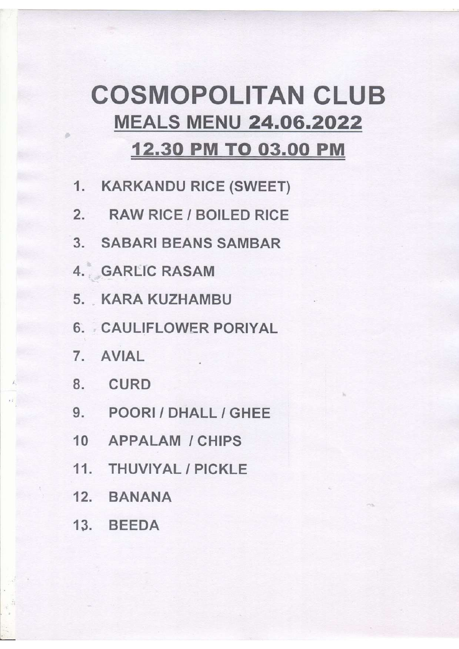## **COSMOPOLITAN CLUB MEALS MENU 24.06.2022** 12.30 PM TO 03.00 PM

- 1. KARKANDU RICE (SWEET)
- 2. RAW RICE / BOILED RICE
- 3. SABARI BEANS SAMBAR
- 4. GARLIC RASAM
- 5. KARA KUZHAMBU
- 6. CAULIFLOWER PORIYAL
- 7. AVIAL
- 8. CURD
- 9. POORI / DHALL / GHEE
- 10 APPALAM / CHIPS
- 11. THUVIYAL / PICKLE
- 12. BANANA
- 13. BEEDA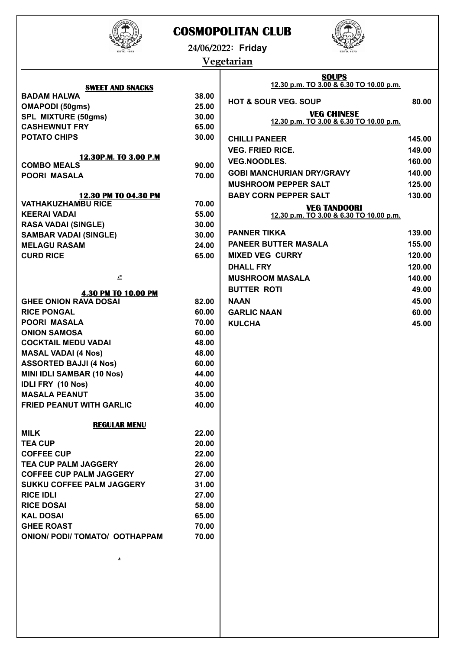

## **COSMOPOLITAN CLUB**



**24/06/2022: Friday**

## **Vegetarian**

|                                                            |       | <b>SOUPS</b><br>12.30 p.m. TO 3.00 & 6.30 TO 10.00 p.m. |        |
|------------------------------------------------------------|-------|---------------------------------------------------------|--------|
| <b>SWEET AND SNACKS</b><br><b>BADAM HALWA</b>              | 38.00 |                                                         |        |
| <b>OMAPODI (50gms)</b>                                     | 25.00 | <b>HOT &amp; SOUR VEG. SOUP</b>                         | 80.00  |
| SPL MIXTURE (50gms)                                        | 30.00 | <b>VEG CHINESE</b>                                      |        |
| <b>CASHEWNUT FRY</b>                                       | 65.00 | 12.30 p.m. TO 3.00 & 6.30 TO 10.00 p.m.                 |        |
| <b>POTATO CHIPS</b>                                        | 30.00 | <b>CHILLI PANEER</b>                                    | 145.00 |
|                                                            |       | <b>VEG. FRIED RICE.</b>                                 | 149.00 |
| 12.30P.M. TO 3.00 P.M                                      |       | <b>VEG.NOODLES.</b>                                     |        |
| <b>COMBO MEALS</b>                                         | 90.00 |                                                         | 160.00 |
| <b>POORI MASALA</b>                                        | 70.00 | <b>GOBI MANCHURIAN DRY/GRAVY</b>                        | 140.00 |
|                                                            |       | <b>MUSHROOM PEPPER SALT</b>                             | 125.00 |
| 12.30 PM TO 04.30 PM<br><b>VATHAKUZHAMBU RICE</b>          | 70.00 | <b>BABY CORN PEPPER SALT</b>                            | 130.00 |
| <b>KEERAI VADAI</b>                                        | 55.00 | <b>VEG TANDOORI</b>                                     |        |
| <b>RASA VADAI (SINGLE)</b>                                 | 30.00 | 12.30 p.m. TO 3.00 & 6.30 TO 10.00 p.m.                 |        |
| <b>SAMBAR VADAI (SINGLE)</b>                               | 30.00 | <b>PANNER TIKKA</b>                                     | 139.00 |
| <b>MELAGU RASAM</b>                                        | 24.00 | PANEER BUTTER MASALA                                    | 155.00 |
| <b>CURD RICE</b>                                           | 65.00 | <b>MIXED VEG CURRY</b>                                  | 120.00 |
|                                                            |       | <b>DHALL FRY</b>                                        | 120.00 |
| £.                                                         |       | <b>MUSHROOM MASALA</b>                                  | 140.00 |
|                                                            |       | <b>BUTTER ROTI</b>                                      | 49.00  |
| <b>4.30 PM TO 10.00 PM</b><br><b>GHEE ONION RAVA DOSAI</b> | 82.00 | <b>NAAN</b>                                             | 45.00  |
| <b>RICE PONGAL</b>                                         | 60.00 | <b>GARLIC NAAN</b>                                      | 60.00  |
| <b>POORI MASALA</b>                                        | 70.00 | <b>KULCHA</b>                                           | 45.00  |
| <b>ONION SAMOSA</b>                                        | 60.00 |                                                         |        |
| <b>COCKTAIL MEDU VADAI</b>                                 | 48.00 |                                                         |        |
| <b>MASAL VADAI (4 Nos)</b>                                 | 48.00 |                                                         |        |
| <b>ASSORTED BAJJI (4 Nos)</b>                              | 60.00 |                                                         |        |
| <b>MINI IDLI SAMBAR (10 Nos)</b>                           | 44.00 |                                                         |        |
| <b>IDLI FRY (10 Nos)</b>                                   | 40.00 |                                                         |        |
| <b>MASALA PEANUT</b>                                       | 35.00 |                                                         |        |
| <b>FRIED PEANUT WITH GARLIC</b>                            | 40.00 |                                                         |        |
|                                                            |       |                                                         |        |
| <b>REGULAR MENU</b><br><b>MILK</b>                         | 22.00 |                                                         |        |
| <b>TEA CUP</b>                                             | 20.00 |                                                         |        |
| <b>COFFEE CUP</b>                                          | 22.00 |                                                         |        |
| <b>TEA CUP PALM JAGGERY</b>                                | 26.00 |                                                         |        |
| <b>COFFEE CUP PALM JAGGERY</b>                             | 27.00 |                                                         |        |
| <b>SUKKU COFFEE PALM JAGGERY</b>                           | 31.00 |                                                         |        |
| <b>RICE IDLI</b>                                           | 27.00 |                                                         |        |
| <b>RICE DOSAI</b>                                          | 58.00 |                                                         |        |
| <b>KAL DOSAI</b>                                           | 65.00 |                                                         |        |
| <b>GHEE ROAST</b>                                          | 70.00 |                                                         |        |
| <b>ONION/ PODI/ TOMATO/ OOTHAPPAM</b>                      | 70.00 |                                                         |        |
|                                                            |       |                                                         |        |
| Δ.                                                         |       |                                                         |        |
|                                                            |       |                                                         |        |
|                                                            |       |                                                         |        |
|                                                            |       |                                                         |        |
|                                                            |       |                                                         |        |
|                                                            |       |                                                         |        |
|                                                            |       |                                                         |        |